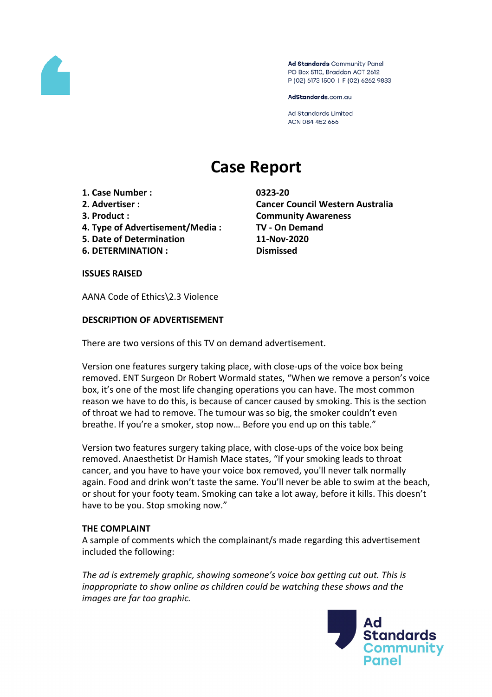

Ad Standards Community Panel PO Box 5110, Braddon ACT 2612 P (02) 6173 1500 | F (02) 6262 9833

AdStandards.com.au

**Ad Standards Limited** ACN 084 452 666

# **Case Report**

- **1. Case Number : 0323-20**
- 
- 
- **4. Type of Advertisement/Media : TV - On Demand**
- **5. Date of Determination 11-Nov-2020**
- **6. DETERMINATION : Dismissed**

**2. Advertiser : Cancer Council Western Australia 3. Product : Community Awareness**

**ISSUES RAISED**

AANA Code of Ethics\2.3 Violence

# **DESCRIPTION OF ADVERTISEMENT**

There are two versions of this TV on demand advertisement.

Version one features surgery taking place, with close-ups of the voice box being removed. ENT Surgeon Dr Robert Wormald states, "When we remove a person's voice box, it's one of the most life changing operations you can have. The most common reason we have to do this, is because of cancer caused by smoking. This is the section of throat we had to remove. The tumour was so big, the smoker couldn't even breathe. If you're a smoker, stop now… Before you end up on this table."

Version two features surgery taking place, with close-ups of the voice box being removed. Anaesthetist Dr Hamish Mace states, "If your smoking leads to throat cancer, and you have to have your voice box removed, you'll never talk normally again. Food and drink won't taste the same. You'll never be able to swim at the beach, or shout for your footy team. Smoking can take a lot away, before it kills. This doesn't have to be you. Stop smoking now."

## **THE COMPLAINT**

A sample of comments which the complainant/s made regarding this advertisement included the following:

*The ad is extremely graphic, showing someone's voice box getting cut out. This is inappropriate to show online as children could be watching these shows and the images are far too graphic.*

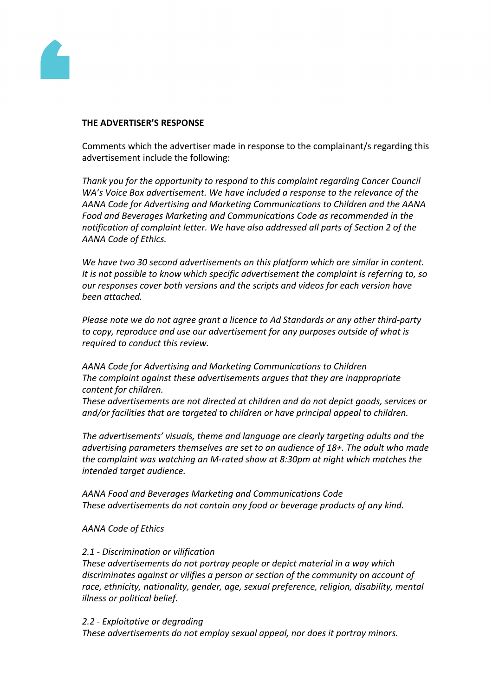

#### **THE ADVERTISER'S RESPONSE**

Comments which the advertiser made in response to the complainant/s regarding this advertisement include the following:

*Thank you for the opportunity to respond to this complaint regarding Cancer Council WA's Voice Box advertisement. We have included a response to the relevance of the AANA Code for Advertising and Marketing Communications to Children and the AANA Food and Beverages Marketing and Communications Code as recommended in the notification of complaint letter. We have also addressed all parts of Section 2 of the AANA Code of Ethics.*

*We have two 30 second advertisements on this platform which are similar in content. It is not possible to know which specific advertisement the complaint is referring to, so our responses cover both versions and the scripts and videos for each version have been attached.*

*Please note we do not agree grant a licence to Ad Standards or any other third-party to copy, reproduce and use our advertisement for any purposes outside of what is required to conduct this review.*

*AANA Code for Advertising and Marketing Communications to Children The complaint against these advertisements argues that they are inappropriate content for children.*

*These advertisements are not directed at children and do not depict goods, services or and/or facilities that are targeted to children or have principal appeal to children.*

*The advertisements' visuals, theme and language are clearly targeting adults and the advertising parameters themselves are set to an audience of 18+. The adult who made the complaint was watching an M-rated show at 8:30pm at night which matches the intended target audience.*

*AANA Food and Beverages Marketing and Communications Code These advertisements do not contain any food or beverage products of any kind.*

## *AANA Code of Ethics*

## *2.1 - Discrimination or vilification*

*These advertisements do not portray people or depict material in a way which discriminates against or vilifies a person or section of the community on account of race, ethnicity, nationality, gender, age, sexual preference, religion, disability, mental illness or political belief.*

#### *2.2 - Exploitative or degrading*

*These advertisements do not employ sexual appeal, nor does it portray minors.*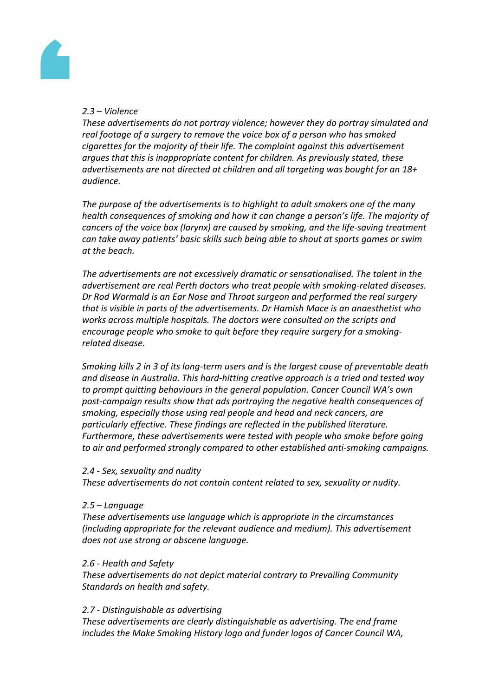

# *2.3 – Violence*

*These advertisements do not portray violence; however they do portray simulated and real footage of a surgery to remove the voice box of a person who has smoked cigarettes for the majority of their life. The complaint against this advertisement argues that this is inappropriate content for children. As previously stated, these advertisements are not directed at children and all targeting was bought for an 18+ audience.*

*The purpose of the advertisements is to highlight to adult smokers one of the many health consequences of smoking and how it can change a person's life. The majority of cancers of the voice box (larynx) are caused by smoking, and the life-saving treatment can take away patients' basic skills such being able to shout at sports games or swim at the beach.*

*The advertisements are not excessively dramatic or sensationalised. The talent in the advertisement are real Perth doctors who treat people with smoking-related diseases. Dr Rod Wormald is an Ear Nose and Throat surgeon and performed the real surgery that is visible in parts of the advertisements. Dr Hamish Mace is an anaesthetist who works across multiple hospitals. The doctors were consulted on the scripts and encourage people who smoke to quit before they require surgery for a smokingrelated disease.*

*Smoking kills 2 in 3 of its long-term users and is the largest cause of preventable death and disease in Australia. This hard-hitting creative approach is a tried and tested way to prompt quitting behaviours in the general population. Cancer Council WA's own post-campaign results show that ads portraying the negative health consequences of smoking, especially those using real people and head and neck cancers, are particularly effective. These findings are reflected in the published literature. Furthermore, these advertisements were tested with people who smoke before going to air and performed strongly compared to other established anti-smoking campaigns.*

#### *2.4 - Sex, sexuality and nudity*

*These advertisements do not contain content related to sex, sexuality or nudity.*

## *2.5 – Language*

*These advertisements use language which is appropriate in the circumstances (including appropriate for the relevant audience and medium). This advertisement does not use strong or obscene language.*

## *2.6 - Health and Safety*

*These advertisements do not depict material contrary to Prevailing Community Standards on health and safety.*

## *2.7 - Distinguishable as advertising*

*These advertisements are clearly distinguishable as advertising. The end frame includes the Make Smoking History logo and funder logos of Cancer Council WA,*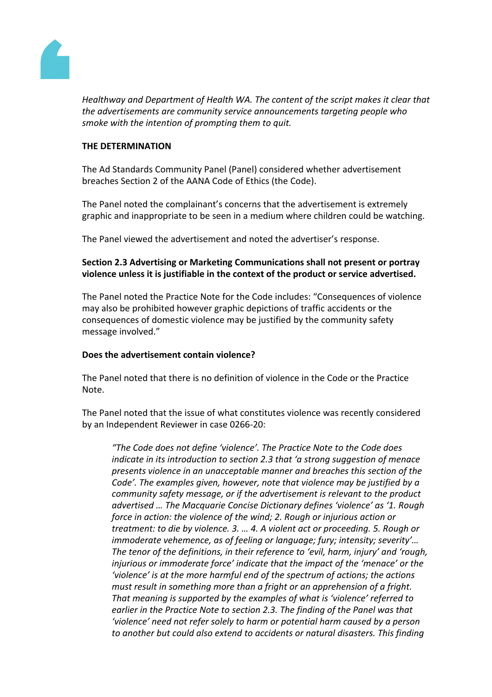

*Healthway and Department of Health WA. The content of the script makes it clear that the advertisements are community service announcements targeting people who smoke with the intention of prompting them to quit.*

## **THE DETERMINATION**

The Ad Standards Community Panel (Panel) considered whether advertisement breaches Section 2 of the AANA Code of Ethics (the Code).

The Panel noted the complainant's concerns that the advertisement is extremely graphic and inappropriate to be seen in a medium where children could be watching.

The Panel viewed the advertisement and noted the advertiser's response.

# **Section 2.3 Advertising or Marketing Communications shall not present or portray violence unless it is justifiable in the context of the product or service advertised.**

The Panel noted the Practice Note for the Code includes: "Consequences of violence may also be prohibited however graphic depictions of traffic accidents or the consequences of domestic violence may be justified by the community safety message involved."

## **Does the advertisement contain violence?**

The Panel noted that there is no definition of violence in the Code or the Practice Note.

The Panel noted that the issue of what constitutes violence was recently considered by an Independent Reviewer in case 0266-20:

*"The Code does not define 'violence'. The Practice Note to the Code does indicate in its introduction to section 2.3 that 'a strong suggestion of menace presents violence in an unacceptable manner and breaches this section of the Code'. The examples given, however, note that violence may be justified by a community safety message, or if the advertisement is relevant to the product advertised … The Macquarie Concise Dictionary defines 'violence' as '1. Rough force in action: the violence of the wind; 2. Rough or injurious action or treatment: to die by violence. 3. … 4. A violent act or proceeding. 5. Rough or immoderate vehemence, as of feeling or language; fury; intensity; severity'… The tenor of the definitions, in their reference to 'evil, harm, injury' and 'rough, injurious or immoderate force' indicate that the impact of the 'menace' or the 'violence' is at the more harmful end of the spectrum of actions; the actions must result in something more than a fright or an apprehension of a fright. That meaning is supported by the examples of what is 'violence' referred to earlier in the Practice Note to section 2.3. The finding of the Panel was that 'violence' need not refer solely to harm or potential harm caused by a person to another but could also extend to accidents or natural disasters. This finding*